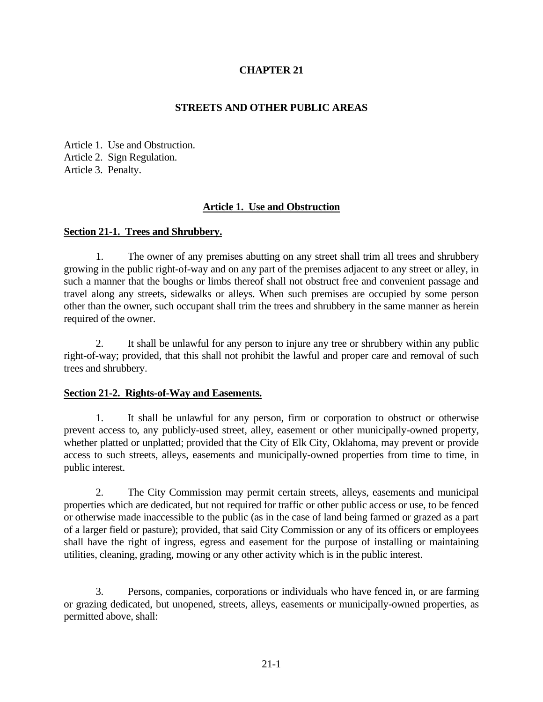# **CHAPTER 21**

## **STREETS AND OTHER PUBLIC AREAS**

Article 1. Use and Obstruction. Article 2. Sign Regulation. Article 3. Penalty.

## **Article 1. Use and Obstruction**

### **Section 21-1. Trees and Shrubbery.**

1. The owner of any premises abutting on any street shall trim all trees and shrubbery growing in the public right-of-way and on any part of the premises adjacent to any street or alley, in such a manner that the boughs or limbs thereof shall not obstruct free and convenient passage and travel along any streets, sidewalks or alleys. When such premises are occupied by some person other than the owner, such occupant shall trim the trees and shrubbery in the same manner as herein required of the owner.

2. It shall be unlawful for any person to injure any tree or shrubbery within any public right-of-way; provided, that this shall not prohibit the lawful and proper care and removal of such trees and shrubbery.

### **Section 21-2. Rights-of-Way and Easements.**

1. It shall be unlawful for any person, firm or corporation to obstruct or otherwise prevent access to, any publicly-used street, alley, easement or other municipally-owned property, whether platted or unplatted; provided that the City of Elk City, Oklahoma, may prevent or provide access to such streets, alleys, easements and municipally-owned properties from time to time, in public interest.

2. The City Commission may permit certain streets, alleys, easements and municipal properties which are dedicated, but not required for traffic or other public access or use, to be fenced or otherwise made inaccessible to the public (as in the case of land being farmed or grazed as a part of a larger field or pasture); provided, that said City Commission or any of its officers or employees shall have the right of ingress, egress and easement for the purpose of installing or maintaining utilities, cleaning, grading, mowing or any other activity which is in the public interest.

3. Persons, companies, corporations or individuals who have fenced in, or are farming or grazing dedicated, but unopened, streets, alleys, easements or municipally-owned properties, as permitted above, shall: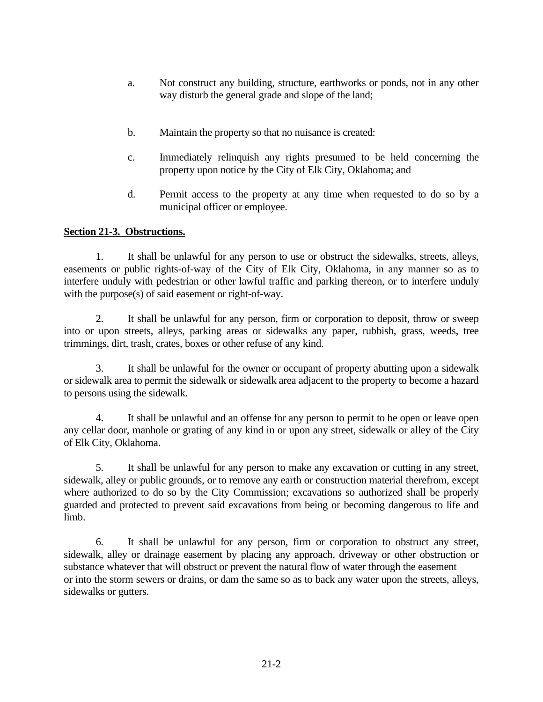- a. Not construct any building, structure, earthworks or ponds, not in any other way disturb the general grade and slope of the land;
- b. Maintain the property so that no nuisance is created:
- c. Immediately relinquish any rights presumed to be held concerning the property upon notice by the City of Elk City, Oklahoma; and
- d. Permit access to the property at any time when requested to do so by a municipal officer or employee.

## **Section 21-3. Obstructions.**

1. It shall be unlawful for any person to use or obstruct the sidewalks, streets, alleys, easements or public rights-of-way of the City of Elk City, Oklahoma, in any manner so as to interfere unduly with pedestrian or other lawful traffic and parking thereon, or to interfere unduly with the purpose(s) of said easement or right-of-way.

2. It shall be unlawful for any person, firm or corporation to deposit, throw or sweep into or upon streets, alleys, parking areas or sidewalks any paper, rubbish, grass, weeds, tree trimmings, dirt, trash, crates, boxes or other refuse of any kind.

3. It shall be unlawful for the owner or occupant of property abutting upon a sidewalk or sidewalk area to permit the sidewalk or sidewalk area adjacent to the property to become a hazard to persons using the sidewalk.

4. It shall be unlawful and an offense for any person to permit to be open or leave open any cellar door, manhole or grating of any kind in or upon any street, sidewalk or alley of the City of Elk City, Oklahoma.

5. It shall be unlawful for any person to make any excavation or cutting in any street, sidewalk, alley or public grounds, or to remove any earth or construction material therefrom, except where authorized to do so by the City Commission; excavations so authorized shall be properly guarded and protected to prevent said excavations from being or becoming dangerous to life and limb.

6. It shall be unlawful for any person, firm or corporation to obstruct any street, sidewalk, alley or drainage easement by placing any approach, driveway or other obstruction or substance whatever that will obstruct or prevent the natural flow of water through the easement or into the storm sewers or drains, or dam the same so as to back any water upon the streets, alleys, sidewalks or gutters.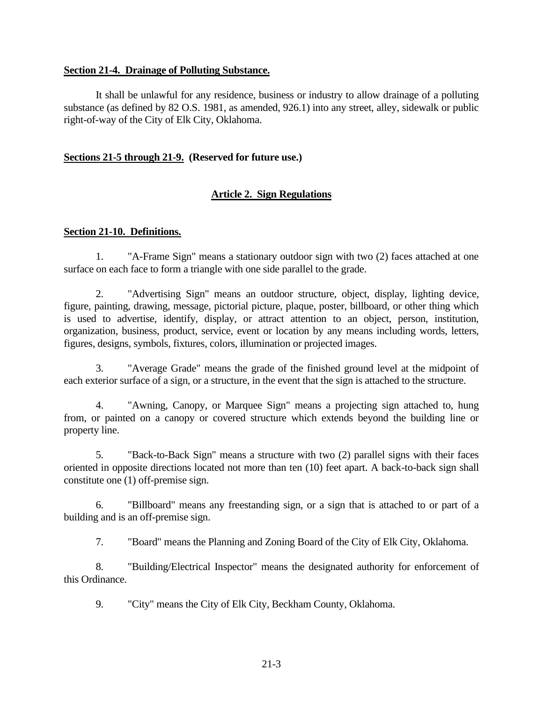### **Section 21-4. Drainage of Polluting Substance.**

It shall be unlawful for any residence, business or industry to allow drainage of a polluting substance (as defined by 82 O.S. 1981, as amended, 926.1) into any street, alley, sidewalk or public right-of-way of the City of Elk City, Oklahoma.

#### **Sections 21-5 through 21-9. (Reserved for future use.)**

### **Article 2. Sign Regulations**

### **Section 21-10. Definitions.**

1. "A-Frame Sign" means a stationary outdoor sign with two (2) faces attached at one surface on each face to form a triangle with one side parallel to the grade.

2. "Advertising Sign" means an outdoor structure, object, display, lighting device, figure, painting, drawing, message, pictorial picture, plaque, poster, billboard, or other thing which is used to advertise, identify, display, or attract attention to an object, person, institution, organization, business, product, service, event or location by any means including words, letters, figures, designs, symbols, fixtures, colors, illumination or projected images.

3. "Average Grade" means the grade of the finished ground level at the midpoint of each exterior surface of a sign, or a structure, in the event that the sign is attached to the structure.

4. "Awning, Canopy, or Marquee Sign" means a projecting sign attached to, hung from, or painted on a canopy or covered structure which extends beyond the building line or property line.

5. "Back-to-Back Sign" means a structure with two (2) parallel signs with their faces oriented in opposite directions located not more than ten (10) feet apart. A back-to-back sign shall constitute one (1) off-premise sign.

6. "Billboard" means any freestanding sign, or a sign that is attached to or part of a building and is an off-premise sign.

7. "Board" means the Planning and Zoning Board of the City of Elk City, Oklahoma.

8. "Building/Electrical Inspector" means the designated authority for enforcement of this Ordinance.

9. "City" means the City of Elk City, Beckham County, Oklahoma.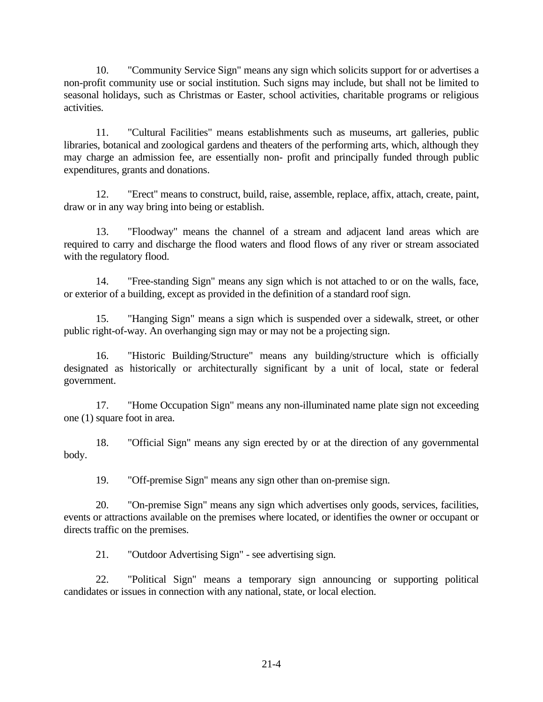10. "Community Service Sign" means any sign which solicits support for or advertises a non-profit community use or social institution. Such signs may include, but shall not be limited to seasonal holidays, such as Christmas or Easter, school activities, charitable programs or religious activities.

11. "Cultural Facilities" means establishments such as museums, art galleries, public libraries, botanical and zoological gardens and theaters of the performing arts, which, although they may charge an admission fee, are essentially non- profit and principally funded through public expenditures, grants and donations.

12. "Erect" means to construct, build, raise, assemble, replace, affix, attach, create, paint, draw or in any way bring into being or establish.

13. "Floodway" means the channel of a stream and adjacent land areas which are required to carry and discharge the flood waters and flood flows of any river or stream associated with the regulatory flood.

14. "Free-standing Sign" means any sign which is not attached to or on the walls, face, or exterior of a building, except as provided in the definition of a standard roof sign.

15. "Hanging Sign" means a sign which is suspended over a sidewalk, street, or other public right-of-way. An overhanging sign may or may not be a projecting sign.

16. "Historic Building/Structure" means any building/structure which is officially designated as historically or architecturally significant by a unit of local, state or federal government.

17. "Home Occupation Sign" means any non-illuminated name plate sign not exceeding one (1) square foot in area.

18. "Official Sign" means any sign erected by or at the direction of any governmental body.

19. "Off-premise Sign" means any sign other than on-premise sign.

20. "On-premise Sign" means any sign which advertises only goods, services, facilities, events or attractions available on the premises where located, or identifies the owner or occupant or directs traffic on the premises.

21. "Outdoor Advertising Sign" - see advertising sign.

22. "Political Sign" means a temporary sign announcing or supporting political candidates or issues in connection with any national, state, or local election.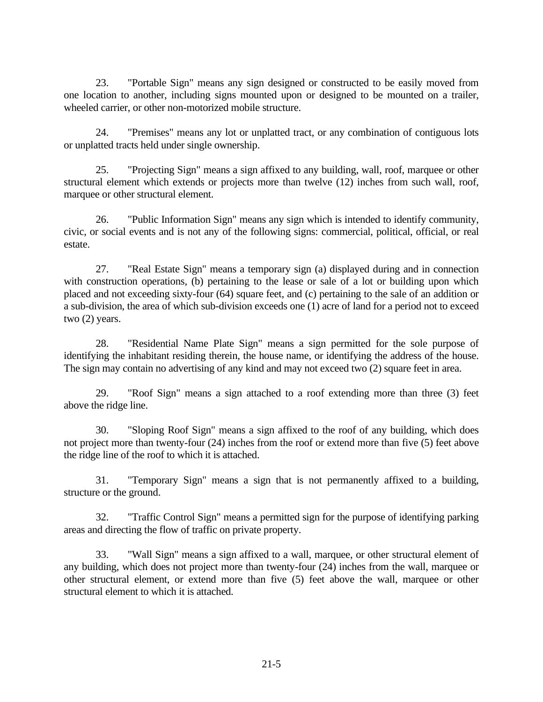23. "Portable Sign" means any sign designed or constructed to be easily moved from one location to another, including signs mounted upon or designed to be mounted on a trailer, wheeled carrier, or other non-motorized mobile structure.

24. "Premises" means any lot or unplatted tract, or any combination of contiguous lots or unplatted tracts held under single ownership.

25. "Projecting Sign" means a sign affixed to any building, wall, roof, marquee or other structural element which extends or projects more than twelve (12) inches from such wall, roof, marquee or other structural element.

26. "Public Information Sign" means any sign which is intended to identify community, civic, or social events and is not any of the following signs: commercial, political, official, or real estate.

27. "Real Estate Sign" means a temporary sign (a) displayed during and in connection with construction operations, (b) pertaining to the lease or sale of a lot or building upon which placed and not exceeding sixty-four (64) square feet, and (c) pertaining to the sale of an addition or a sub-division, the area of which sub-division exceeds one (1) acre of land for a period not to exceed two (2) years.

28. "Residential Name Plate Sign" means a sign permitted for the sole purpose of identifying the inhabitant residing therein, the house name, or identifying the address of the house. The sign may contain no advertising of any kind and may not exceed two (2) square feet in area.

29. "Roof Sign" means a sign attached to a roof extending more than three (3) feet above the ridge line.

30. "Sloping Roof Sign" means a sign affixed to the roof of any building, which does not project more than twenty-four (24) inches from the roof or extend more than five (5) feet above the ridge line of the roof to which it is attached.

31. "Temporary Sign" means a sign that is not permanently affixed to a building, structure or the ground.

32. "Traffic Control Sign" means a permitted sign for the purpose of identifying parking areas and directing the flow of traffic on private property.

33. "Wall Sign" means a sign affixed to a wall, marquee, or other structural element of any building, which does not project more than twenty-four (24) inches from the wall, marquee or other structural element, or extend more than five (5) feet above the wall, marquee or other structural element to which it is attached.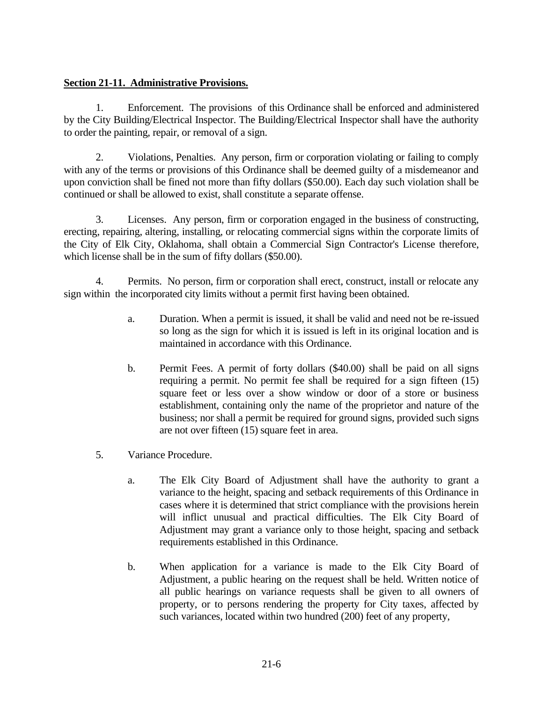## **Section 21-11. Administrative Provisions.**

1. Enforcement. The provisions of this Ordinance shall be enforced and administered by the City Building/Electrical Inspector. The Building/Electrical Inspector shall have the authority to order the painting, repair, or removal of a sign.

2. Violations, Penalties. Any person, firm or corporation violating or failing to comply with any of the terms or provisions of this Ordinance shall be deemed guilty of a misdemeanor and upon conviction shall be fined not more than fifty dollars (\$50.00). Each day such violation shall be continued or shall be allowed to exist, shall constitute a separate offense.

3. Licenses. Any person, firm or corporation engaged in the business of constructing, erecting, repairing, altering, installing, or relocating commercial signs within the corporate limits of the City of Elk City, Oklahoma, shall obtain a Commercial Sign Contractor's License therefore, which license shall be in the sum of fifty dollars (\$50.00).

4. Permits. No person, firm or corporation shall erect, construct, install or relocate any sign within the incorporated city limits without a permit first having been obtained.

- a. Duration. When a permit is issued, it shall be valid and need not be re-issued so long as the sign for which it is issued is left in its original location and is maintained in accordance with this Ordinance.
- b. Permit Fees. A permit of forty dollars (\$40.00) shall be paid on all signs requiring a permit. No permit fee shall be required for a sign fifteen (15) square feet or less over a show window or door of a store or business establishment, containing only the name of the proprietor and nature of the business; nor shall a permit be required for ground signs, provided such signs are not over fifteen (15) square feet in area.
- 5. Variance Procedure.
	- a. The Elk City Board of Adjustment shall have the authority to grant a variance to the height, spacing and setback requirements of this Ordinance in cases where it is determined that strict compliance with the provisions herein will inflict unusual and practical difficulties. The Elk City Board of Adjustment may grant a variance only to those height, spacing and setback requirements established in this Ordinance.
	- b. When application for a variance is made to the Elk City Board of Adjustment, a public hearing on the request shall be held. Written notice of all public hearings on variance requests shall be given to all owners of property, or to persons rendering the property for City taxes, affected by such variances, located within two hundred (200) feet of any property,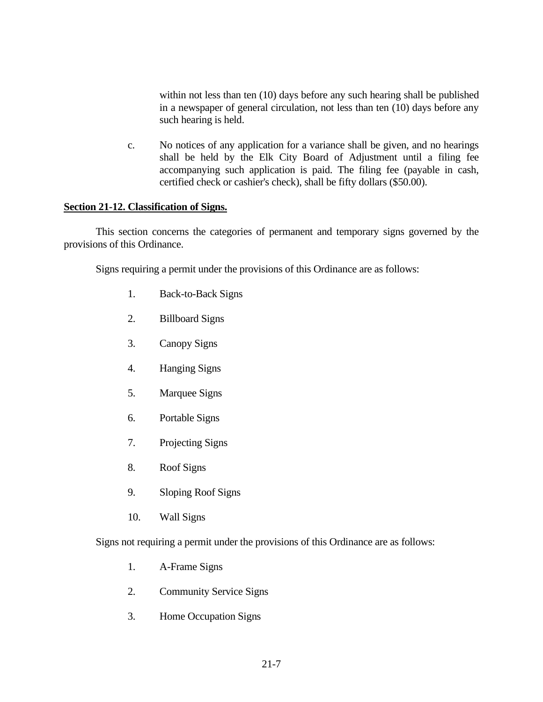within not less than ten (10) days before any such hearing shall be published in a newspaper of general circulation, not less than ten (10) days before any such hearing is held.

c. No notices of any application for a variance shall be given, and no hearings shall be held by the Elk City Board of Adjustment until a filing fee accompanying such application is paid. The filing fee (payable in cash, certified check or cashier's check), shall be fifty dollars (\$50.00).

### **Section 21-12. Classification of Signs.**

This section concerns the categories of permanent and temporary signs governed by the provisions of this Ordinance.

Signs requiring a permit under the provisions of this Ordinance are as follows:

- 1. Back-to-Back Signs
- 2. Billboard Signs
- 3. Canopy Signs
- 4. Hanging Signs
- 5. Marquee Signs
- 6. Portable Signs
- 7. Projecting Signs
- 8. Roof Signs
- 9. Sloping Roof Signs
- 10. Wall Signs

Signs not requiring a permit under the provisions of this Ordinance are as follows:

- 1. A-Frame Signs
- 2. Community Service Signs
- 3. Home Occupation Signs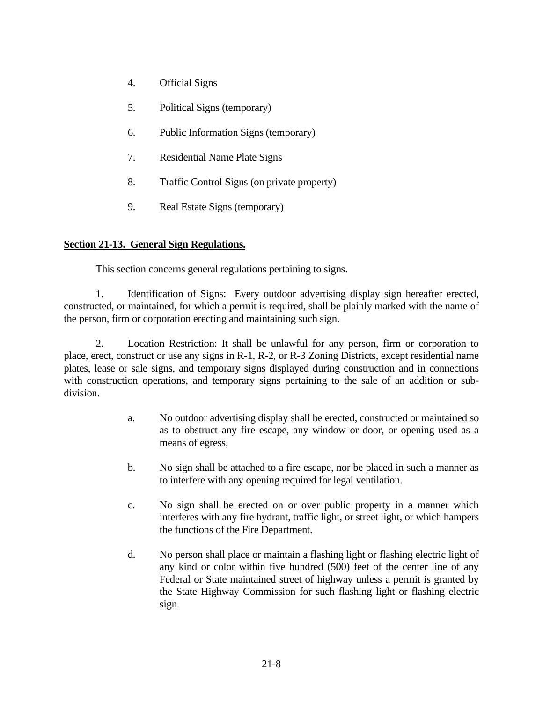- 4. Official Signs
- 5. Political Signs (temporary)
- 6. Public Information Signs (temporary)
- 7. Residential Name Plate Signs
- 8. Traffic Control Signs (on private property)
- 9. Real Estate Signs (temporary)

## **Section 21-13. General Sign Regulations.**

This section concerns general regulations pertaining to signs.

1. Identification of Signs: Every outdoor advertising display sign hereafter erected, constructed, or maintained, for which a permit is required, shall be plainly marked with the name of the person, firm or corporation erecting and maintaining such sign.

2. Location Restriction: It shall be unlawful for any person, firm or corporation to place, erect, construct or use any signs in R-1, R-2, or R-3 Zoning Districts, except residential name plates, lease or sale signs, and temporary signs displayed during construction and in connections with construction operations, and temporary signs pertaining to the sale of an addition or subdivision.

- a. No outdoor advertising display shall be erected, constructed or maintained so as to obstruct any fire escape, any window or door, or opening used as a means of egress,
- b. No sign shall be attached to a fire escape, nor be placed in such a manner as to interfere with any opening required for legal ventilation.
- c. No sign shall be erected on or over public property in a manner which interferes with any fire hydrant, traffic light, or street light, or which hampers the functions of the Fire Department.
- d. No person shall place or maintain a flashing light or flashing electric light of any kind or color within five hundred (500) feet of the center line of any Federal or State maintained street of highway unless a permit is granted by the State Highway Commission for such flashing light or flashing electric sign.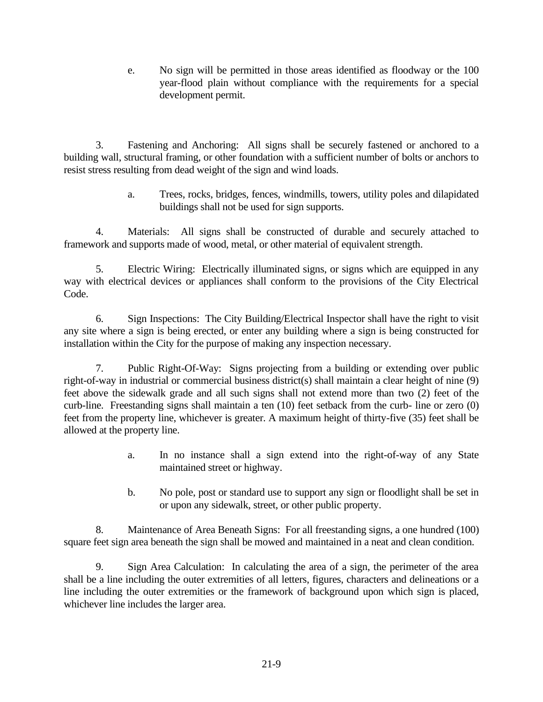e. No sign will be permitted in those areas identified as floodway or the 100 year-flood plain without compliance with the requirements for a special development permit.

3. Fastening and Anchoring: All signs shall be securely fastened or anchored to a building wall, structural framing, or other foundation with a sufficient number of bolts or anchors to resist stress resulting from dead weight of the sign and wind loads.

> a. Trees, rocks, bridges, fences, windmills, towers, utility poles and dilapidated buildings shall not be used for sign supports.

4. Materials: All signs shall be constructed of durable and securely attached to framework and supports made of wood, metal, or other material of equivalent strength.

5. Electric Wiring: Electrically illuminated signs, or signs which are equipped in any way with electrical devices or appliances shall conform to the provisions of the City Electrical Code.

6. Sign Inspections: The City Building/Electrical Inspector shall have the right to visit any site where a sign is being erected, or enter any building where a sign is being constructed for installation within the City for the purpose of making any inspection necessary.

7. Public Right-Of-Way: Signs projecting from a building or extending over public right-of-way in industrial or commercial business district(s) shall maintain a clear height of nine (9) feet above the sidewalk grade and all such signs shall not extend more than two (2) feet of the curb-line. Freestanding signs shall maintain a ten (10) feet setback from the curb- line or zero (0) feet from the property line, whichever is greater. A maximum height of thirty-five (35) feet shall be allowed at the property line.

- a. In no instance shall a sign extend into the right-of-way of any State maintained street or highway.
- b. No pole, post or standard use to support any sign or floodlight shall be set in or upon any sidewalk, street, or other public property.

8. Maintenance of Area Beneath Signs: For all freestanding signs, a one hundred (100) square feet sign area beneath the sign shall be mowed and maintained in a neat and clean condition.

9. Sign Area Calculation: In calculating the area of a sign, the perimeter of the area shall be a line including the outer extremities of all letters, figures, characters and delineations or a line including the outer extremities or the framework of background upon which sign is placed, whichever line includes the larger area.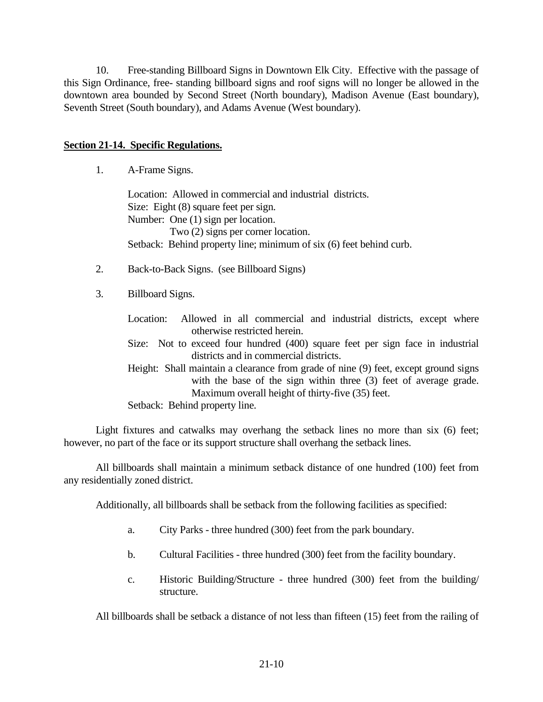10. Free-standing Billboard Signs in Downtown Elk City. Effective with the passage of this Sign Ordinance, free- standing billboard signs and roof signs will no longer be allowed in the downtown area bounded by Second Street (North boundary), Madison Avenue (East boundary), Seventh Street (South boundary), and Adams Avenue (West boundary).

### **Section 21-14. Specific Regulations.**

1. A-Frame Signs.

Location: Allowed in commercial and industrial districts. Size: Eight (8) square feet per sign. Number: One (1) sign per location. Two (2) signs per corner location. Setback: Behind property line; minimum of six  $(6)$  feet behind curb.

- 2. Back-to-Back Signs. (see Billboard Signs)
- 3. Billboard Signs.
	- Location: Allowed in all commercial and industrial districts, except where otherwise restricted herein.

Size: Not to exceed four hundred (400) square feet per sign face in industrial districts and in commercial districts.

Height: Shall maintain a clearance from grade of nine (9) feet, except ground signs with the base of the sign within three (3) feet of average grade. Maximum overall height of thirty-five (35) feet.

Setback: Behind property line.

Light fixtures and catwalks may overhang the setback lines no more than six (6) feet; however, no part of the face or its support structure shall overhang the setback lines.

All billboards shall maintain a minimum setback distance of one hundred (100) feet from any residentially zoned district.

Additionally, all billboards shall be setback from the following facilities as specified:

- a. City Parks three hundred (300) feet from the park boundary.
- b. Cultural Facilities three hundred (300) feet from the facility boundary.
- c. Historic Building/Structure three hundred (300) feet from the building/ structure.

All billboards shall be setback a distance of not less than fifteen (15) feet from the railing of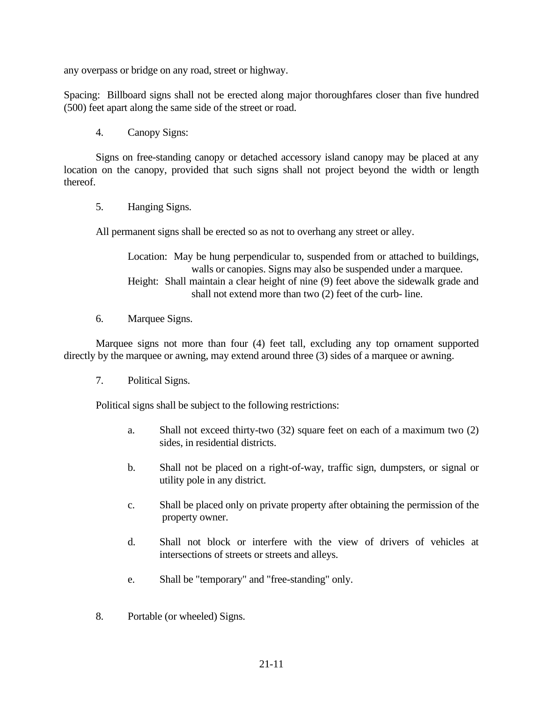any overpass or bridge on any road, street or highway.

Spacing: Billboard signs shall not be erected along major thoroughfares closer than five hundred (500) feet apart along the same side of the street or road.

4. Canopy Signs:

Signs on free-standing canopy or detached accessory island canopy may be placed at any location on the canopy, provided that such signs shall not project beyond the width or length thereof.

5. Hanging Signs.

All permanent signs shall be erected so as not to overhang any street or alley.

Location: May be hung perpendicular to, suspended from or attached to buildings, walls or canopies. Signs may also be suspended under a marquee. Height: Shall maintain a clear height of nine (9) feet above the sidewalk grade and shall not extend more than two (2) feet of the curb- line.

6. Marquee Signs.

Marquee signs not more than four (4) feet tall, excluding any top ornament supported directly by the marquee or awning, may extend around three (3) sides of a marquee or awning.

7. Political Signs.

Political signs shall be subject to the following restrictions:

- a. Shall not exceed thirty-two (32) square feet on each of a maximum two (2) sides, in residential districts.
- b. Shall not be placed on a right-of-way, traffic sign, dumpsters, or signal or utility pole in any district.
- c. Shall be placed only on private property after obtaining the permission of the property owner.
- d. Shall not block or interfere with the view of drivers of vehicles at intersections of streets or streets and alleys.
- e. Shall be "temporary" and "free-standing" only.
- 8. Portable (or wheeled) Signs.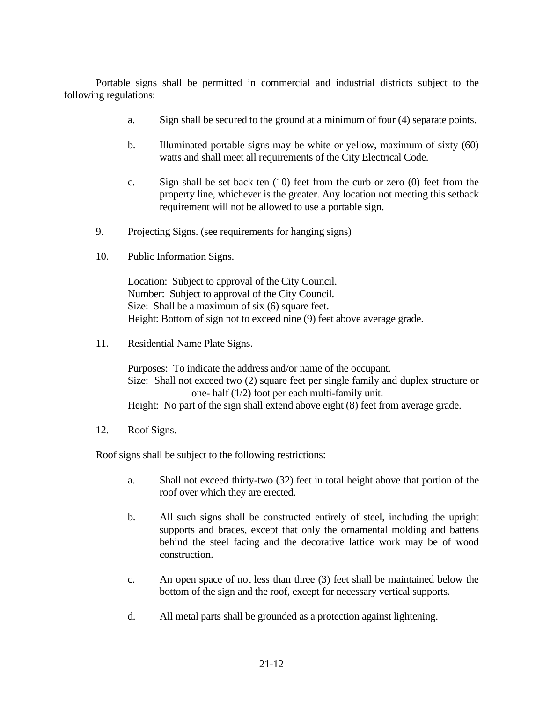Portable signs shall be permitted in commercial and industrial districts subject to the following regulations:

- a. Sign shall be secured to the ground at a minimum of four (4) separate points.
- b. Illuminated portable signs may be white or yellow, maximum of sixty (60) watts and shall meet all requirements of the City Electrical Code.
- c. Sign shall be set back ten (10) feet from the curb or zero (0) feet from the property line, whichever is the greater. Any location not meeting this setback requirement will not be allowed to use a portable sign.
- 9. Projecting Signs. (see requirements for hanging signs)
- 10. Public Information Signs.

Location: Subject to approval of the City Council. Number: Subject to approval of the City Council. Size: Shall be a maximum of six (6) square feet. Height: Bottom of sign not to exceed nine (9) feet above average grade.

11. Residential Name Plate Signs.

Purposes: To indicate the address and/or name of the occupant. Size: Shall not exceed two (2) square feet per single family and duplex structure or one- half (1/2) foot per each multi-family unit. Height: No part of the sign shall extend above eight (8) feet from average grade.

12. Roof Signs.

Roof signs shall be subject to the following restrictions:

- a. Shall not exceed thirty-two (32) feet in total height above that portion of the roof over which they are erected.
- b. All such signs shall be constructed entirely of steel, including the upright supports and braces, except that only the ornamental molding and battens behind the steel facing and the decorative lattice work may be of wood construction.
- c. An open space of not less than three (3) feet shall be maintained below the bottom of the sign and the roof, except for necessary vertical supports.
- d. All metal parts shall be grounded as a protection against lightening.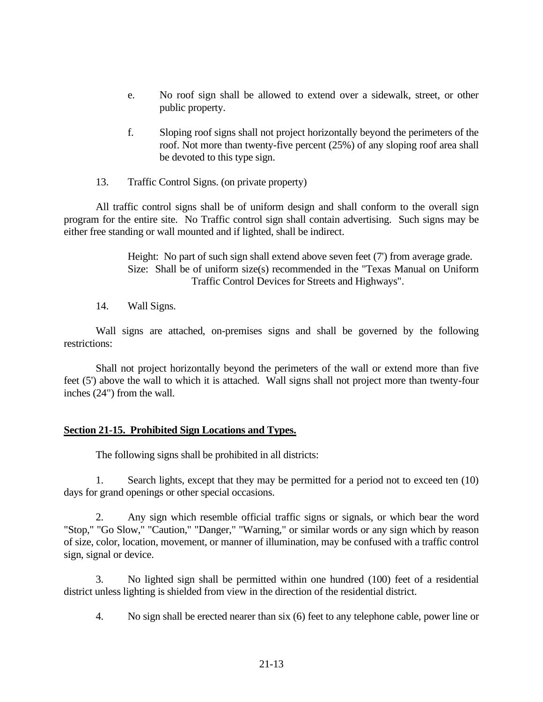- e. No roof sign shall be allowed to extend over a sidewalk, street, or other public property.
- f. Sloping roof signs shall not project horizontally beyond the perimeters of the roof. Not more than twenty-five percent (25%) of any sloping roof area shall be devoted to this type sign.
- 13. Traffic Control Signs. (on private property)

All traffic control signs shall be of uniform design and shall conform to the overall sign program for the entire site. No Traffic control sign shall contain advertising. Such signs may be either free standing or wall mounted and if lighted, shall be indirect.

> Height: No part of such sign shall extend above seven feet (7') from average grade. Size: Shall be of uniform size(s) recommended in the "Texas Manual on Uniform Traffic Control Devices for Streets and Highways".

14. Wall Signs.

Wall signs are attached, on-premises signs and shall be governed by the following restrictions:

Shall not project horizontally beyond the perimeters of the wall or extend more than five feet (5') above the wall to which it is attached. Wall signs shall not project more than twenty-four inches (24") from the wall.

### **Section 21-15. Prohibited Sign Locations and Types.**

The following signs shall be prohibited in all districts:

1. Search lights, except that they may be permitted for a period not to exceed ten (10) days for grand openings or other special occasions.

2. Any sign which resemble official traffic signs or signals, or which bear the word "Stop," "Go Slow," "Caution," "Danger," "Warning," or similar words or any sign which by reason of size, color, location, movement, or manner of illumination, may be confused with a traffic control sign, signal or device.

3. No lighted sign shall be permitted within one hundred (100) feet of a residential district unless lighting is shielded from view in the direction of the residential district.

4. No sign shall be erected nearer than six (6) feet to any telephone cable, power line or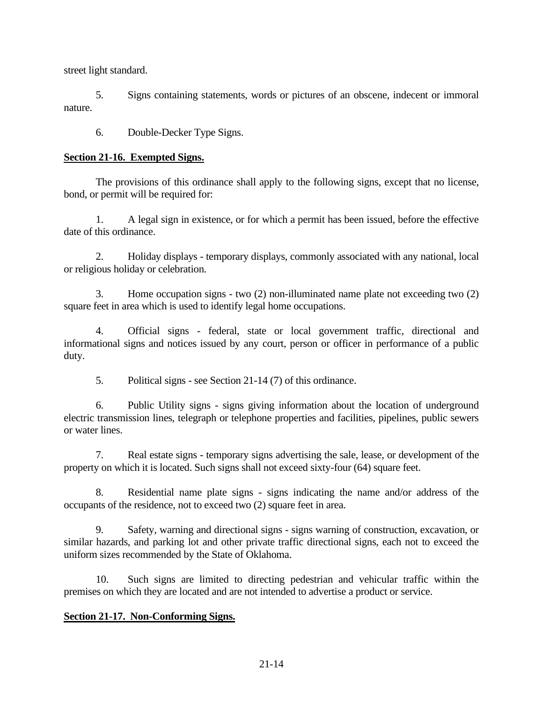street light standard.

5. Signs containing statements, words or pictures of an obscene, indecent or immoral nature.

6. Double-Decker Type Signs.

### **Section 21-16. Exempted Signs.**

The provisions of this ordinance shall apply to the following signs, except that no license, bond, or permit will be required for:

1. A legal sign in existence, or for which a permit has been issued, before the effective date of this ordinance.

2. Holiday displays - temporary displays, commonly associated with any national, local or religious holiday or celebration.

3. Home occupation signs - two (2) non-illuminated name plate not exceeding two (2) square feet in area which is used to identify legal home occupations.

4. Official signs - federal, state or local government traffic, directional and informational signs and notices issued by any court, person or officer in performance of a public duty.

5. Political signs - see Section 21-14 (7) of this ordinance.

6. Public Utility signs - signs giving information about the location of underground electric transmission lines, telegraph or telephone properties and facilities, pipelines, public sewers or water lines.

7. Real estate signs - temporary signs advertising the sale, lease, or development of the property on which it is located. Such signs shall not exceed sixty-four (64) square feet.

8. Residential name plate signs - signs indicating the name and/or address of the occupants of the residence, not to exceed two (2) square feet in area.

9. Safety, warning and directional signs - signs warning of construction, excavation, or similar hazards, and parking lot and other private traffic directional signs, each not to exceed the uniform sizes recommended by the State of Oklahoma.

10. Such signs are limited to directing pedestrian and vehicular traffic within the premises on which they are located and are not intended to advertise a product or service.

## **Section 21-17. Non-Conforming Signs.**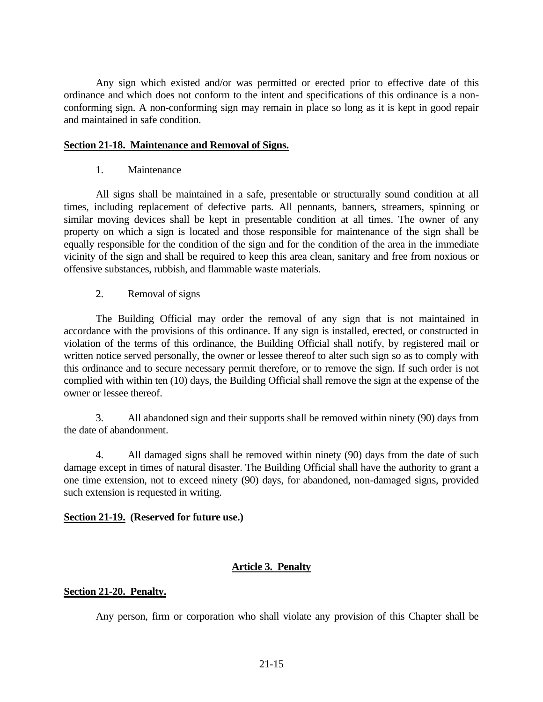Any sign which existed and/or was permitted or erected prior to effective date of this ordinance and which does not conform to the intent and specifications of this ordinance is a nonconforming sign. A non-conforming sign may remain in place so long as it is kept in good repair and maintained in safe condition.

### **Section 21-18. Maintenance and Removal of Signs.**

1. Maintenance

All signs shall be maintained in a safe, presentable or structurally sound condition at all times, including replacement of defective parts. All pennants, banners, streamers, spinning or similar moving devices shall be kept in presentable condition at all times. The owner of any property on which a sign is located and those responsible for maintenance of the sign shall be equally responsible for the condition of the sign and for the condition of the area in the immediate vicinity of the sign and shall be required to keep this area clean, sanitary and free from noxious or offensive substances, rubbish, and flammable waste materials.

### 2. Removal of signs

The Building Official may order the removal of any sign that is not maintained in accordance with the provisions of this ordinance. If any sign is installed, erected, or constructed in violation of the terms of this ordinance, the Building Official shall notify, by registered mail or written notice served personally, the owner or lessee thereof to alter such sign so as to comply with this ordinance and to secure necessary permit therefore, or to remove the sign. If such order is not complied with within ten (10) days, the Building Official shall remove the sign at the expense of the owner or lessee thereof.

3. All abandoned sign and their supports shall be removed within ninety (90) days from the date of abandonment.

4. All damaged signs shall be removed within ninety (90) days from the date of such damage except in times of natural disaster. The Building Official shall have the authority to grant a one time extension, not to exceed ninety (90) days, for abandoned, non-damaged signs, provided such extension is requested in writing.

### **Section 21-19. (Reserved for future use.)**

## **Article 3. Penalty**

### **Section 21-20. Penalty.**

Any person, firm or corporation who shall violate any provision of this Chapter shall be